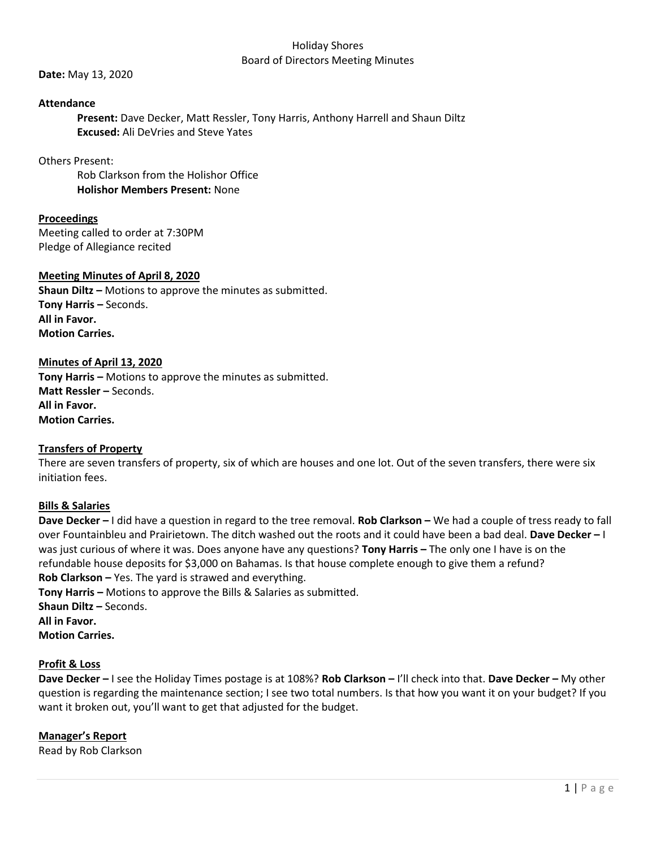#### Holiday Shores Board of Directors Meeting Minutes

**Date:** May 13, 2020

## **Attendance**

**Present:** Dave Decker, Matt Ressler, Tony Harris, Anthony Harrell and Shaun Diltz **Excused:** Ali DeVries and Steve Yates

## Others Present:

Rob Clarkson from the Holishor Office **Holishor Members Present:** None

# **Proceedings**

Meeting called to order at 7:30PM Pledge of Allegiance recited

## **Meeting Minutes of April 8, 2020**

**Shaun Diltz –** Motions to approve the minutes as submitted. **Tony Harris –** Seconds. **All in Favor. Motion Carries.** 

## **Minutes of April 13, 2020**

**Tony Harris –** Motions to approve the minutes as submitted. **Matt Ressler –** Seconds. **All in Favor. Motion Carries.**

### **Transfers of Property**

There are seven transfers of property, six of which are houses and one lot. Out of the seven transfers, there were six initiation fees.

### **Bills & Salaries**

**Dave Decker –** I did have a question in regard to the tree removal. **Rob Clarkson –** We had a couple of tress ready to fall over Fountainbleu and Prairietown. The ditch washed out the roots and it could have been a bad deal. **Dave Decker –** I was just curious of where it was. Does anyone have any questions? **Tony Harris –** The only one I have is on the refundable house deposits for \$3,000 on Bahamas. Is that house complete enough to give them a refund? **Rob Clarkson –** Yes. The yard is strawed and everything.

**Tony Harris –** Motions to approve the Bills & Salaries as submitted. **Shaun Diltz –** Seconds. **All in Favor. Motion Carries.**

## **Profit & Loss**

**Dave Decker –** I see the Holiday Times postage is at 108%? **Rob Clarkson –** I'll check into that. **Dave Decker –** My other question is regarding the maintenance section; I see two total numbers. Is that how you want it on your budget? If you want it broken out, you'll want to get that adjusted for the budget.

# **Manager's Report**

Read by Rob Clarkson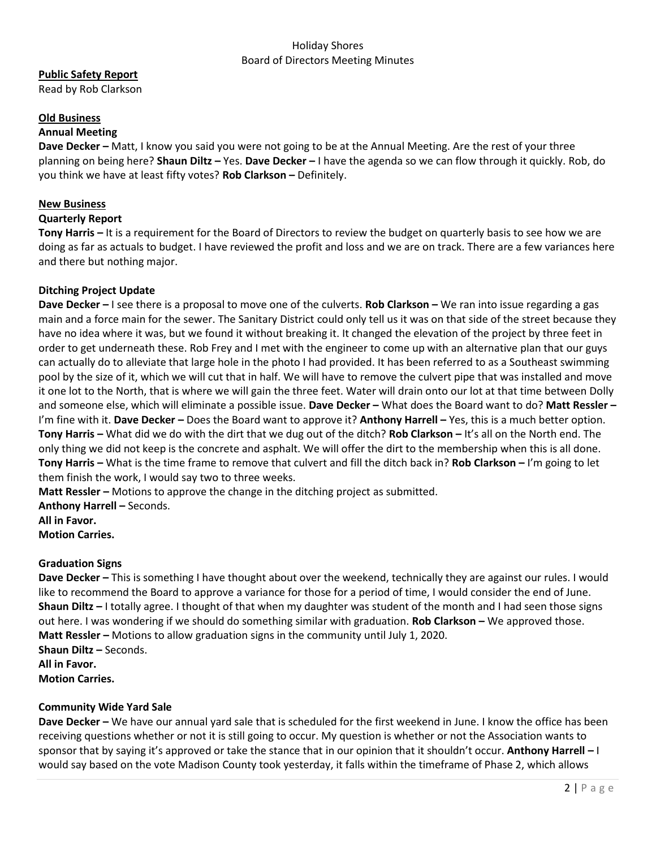## Holiday Shores Board of Directors Meeting Minutes

# **Public Safety Report**

Read by Rob Clarkson

## **Old Business**

## **Annual Meeting**

**Dave Decker –** Matt, I know you said you were not going to be at the Annual Meeting. Are the rest of your three planning on being here? **Shaun Diltz –** Yes. **Dave Decker –** I have the agenda so we can flow through it quickly. Rob, do you think we have at least fifty votes? **Rob Clarkson –** Definitely.

### **New Business**

## **Quarterly Report**

**Tony Harris –** It is a requirement for the Board of Directors to review the budget on quarterly basis to see how we are doing as far as actuals to budget. I have reviewed the profit and loss and we are on track. There are a few variances here and there but nothing major.

## **Ditching Project Update**

**Dave Decker –** I see there is a proposal to move one of the culverts. **Rob Clarkson –** We ran into issue regarding a gas main and a force main for the sewer. The Sanitary District could only tell us it was on that side of the street because they have no idea where it was, but we found it without breaking it. It changed the elevation of the project by three feet in order to get underneath these. Rob Frey and I met with the engineer to come up with an alternative plan that our guys can actually do to alleviate that large hole in the photo I had provided. It has been referred to as a Southeast swimming pool by the size of it, which we will cut that in half. We will have to remove the culvert pipe that was installed and move it one lot to the North, that is where we will gain the three feet. Water will drain onto our lot at that time between Dolly and someone else, which will eliminate a possible issue. **Dave Decker –** What does the Board want to do? **Matt Ressler –** I'm fine with it. **Dave Decker –** Does the Board want to approve it? **Anthony Harrell –** Yes, this is a much better option. **Tony Harris –** What did we do with the dirt that we dug out of the ditch? **Rob Clarkson –** It's all on the North end. The only thing we did not keep is the concrete and asphalt. We will offer the dirt to the membership when this is all done. **Tony Harris –** What is the time frame to remove that culvert and fill the ditch back in? **Rob Clarkson –** I'm going to let them finish the work, I would say two to three weeks.

**Matt Ressler –** Motions to approve the change in the ditching project as submitted.

**Anthony Harrell –** Seconds.

**All in Favor.**

**Motion Carries.** 

# **Graduation Signs**

**Dave Decker –** This is something I have thought about over the weekend, technically they are against our rules. I would like to recommend the Board to approve a variance for those for a period of time, I would consider the end of June. **Shaun Diltz –** I totally agree. I thought of that when my daughter was student of the month and I had seen those signs out here. I was wondering if we should do something similar with graduation. **Rob Clarkson –** We approved those. **Matt Ressler –** Motions to allow graduation signs in the community until July 1, 2020. **Shaun Diltz –** Seconds. **All in Favor. Motion Carries.**

### **Community Wide Yard Sale**

**Dave Decker –** We have our annual yard sale that is scheduled for the first weekend in June. I know the office has been receiving questions whether or not it is still going to occur. My question is whether or not the Association wants to sponsor that by saying it's approved or take the stance that in our opinion that it shouldn't occur. **Anthony Harrell –** I would say based on the vote Madison County took yesterday, it falls within the timeframe of Phase 2, which allows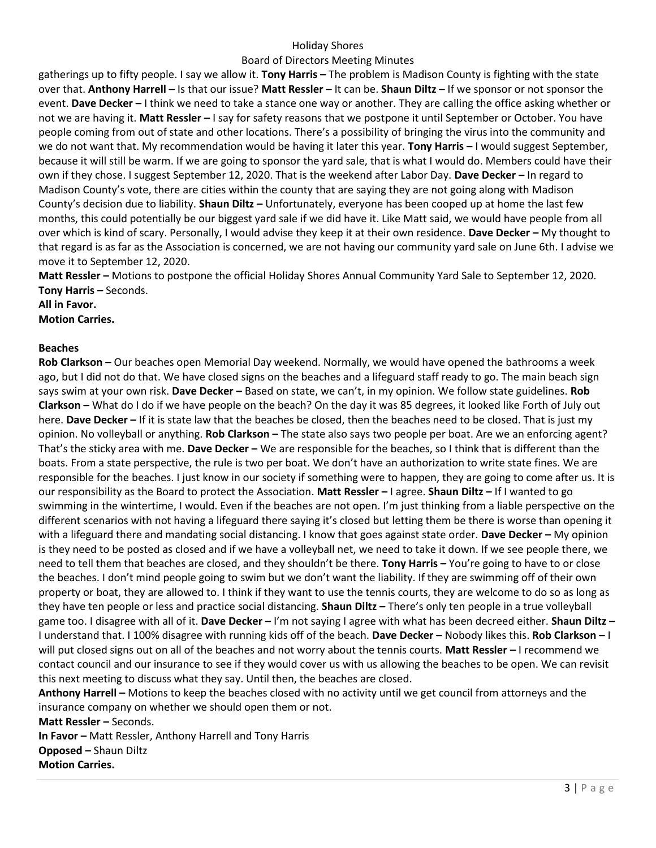## Holiday Shores

## Board of Directors Meeting Minutes

gatherings up to fifty people. I say we allow it. **Tony Harris –** The problem is Madison County is fighting with the state over that. **Anthony Harrell –** Is that our issue? **Matt Ressler –** It can be. **Shaun Diltz –** If we sponsor or not sponsor the event. **Dave Decker –** I think we need to take a stance one way or another. They are calling the office asking whether or not we are having it. **Matt Ressler –** I say for safety reasons that we postpone it until September or October. You have people coming from out of state and other locations. There's a possibility of bringing the virus into the community and we do not want that. My recommendation would be having it later this year. **Tony Harris –** I would suggest September, because it will still be warm. If we are going to sponsor the yard sale, that is what I would do. Members could have their own if they chose. I suggest September 12, 2020. That is the weekend after Labor Day. **Dave Decker –** In regard to Madison County's vote, there are cities within the county that are saying they are not going along with Madison County's decision due to liability. **Shaun Diltz –** Unfortunately, everyone has been cooped up at home the last few months, this could potentially be our biggest yard sale if we did have it. Like Matt said, we would have people from all over which is kind of scary. Personally, I would advise they keep it at their own residence. **Dave Decker –** My thought to that regard is as far as the Association is concerned, we are not having our community yard sale on June 6th. I advise we move it to September 12, 2020.

**Matt Ressler –** Motions to postpone the official Holiday Shores Annual Community Yard Sale to September 12, 2020. **Tony Harris –** Seconds.

**All in Favor.**

**Motion Carries.** 

### **Beaches**

**Rob Clarkson –** Our beaches open Memorial Day weekend. Normally, we would have opened the bathrooms a week ago, but I did not do that. We have closed signs on the beaches and a lifeguard staff ready to go. The main beach sign says swim at your own risk. **Dave Decker –** Based on state, we can't, in my opinion. We follow state guidelines. **Rob Clarkson –** What do I do if we have people on the beach? On the day it was 85 degrees, it looked like Forth of July out here. **Dave Decker –** If it is state law that the beaches be closed, then the beaches need to be closed. That is just my opinion. No volleyball or anything. **Rob Clarkson –** The state also says two people per boat. Are we an enforcing agent? That's the sticky area with me. **Dave Decker –** We are responsible for the beaches, so I think that is different than the boats. From a state perspective, the rule is two per boat. We don't have an authorization to write state fines. We are responsible for the beaches. I just know in our society if something were to happen, they are going to come after us. It is our responsibility as the Board to protect the Association. **Matt Ressler –** I agree. **Shaun Diltz –** If I wanted to go swimming in the wintertime, I would. Even if the beaches are not open. I'm just thinking from a liable perspective on the different scenarios with not having a lifeguard there saying it's closed but letting them be there is worse than opening it with a lifeguard there and mandating social distancing. I know that goes against state order. **Dave Decker –** My opinion is they need to be posted as closed and if we have a volleyball net, we need to take it down. If we see people there, we need to tell them that beaches are closed, and they shouldn't be there. **Tony Harris –** You're going to have to or close the beaches. I don't mind people going to swim but we don't want the liability. If they are swimming off of their own property or boat, they are allowed to. I think if they want to use the tennis courts, they are welcome to do so as long as they have ten people or less and practice social distancing. **Shaun Diltz –** There's only ten people in a true volleyball game too. I disagree with all of it. **Dave Decker –** I'm not saying I agree with what has been decreed either. **Shaun Diltz –** I understand that. I 100% disagree with running kids off of the beach. **Dave Decker –** Nobody likes this. **Rob Clarkson –** I will put closed signs out on all of the beaches and not worry about the tennis courts. **Matt Ressler –** I recommend we contact council and our insurance to see if they would cover us with us allowing the beaches to be open. We can revisit this next meeting to discuss what they say. Until then, the beaches are closed.

**Anthony Harrell –** Motions to keep the beaches closed with no activity until we get council from attorneys and the insurance company on whether we should open them or not.

**Matt Ressler – Seconds. In Favor -** Matt Ressler, Anthony Harrell and Tony Harris **Opposed –** Shaun Diltz **Motion Carries.**